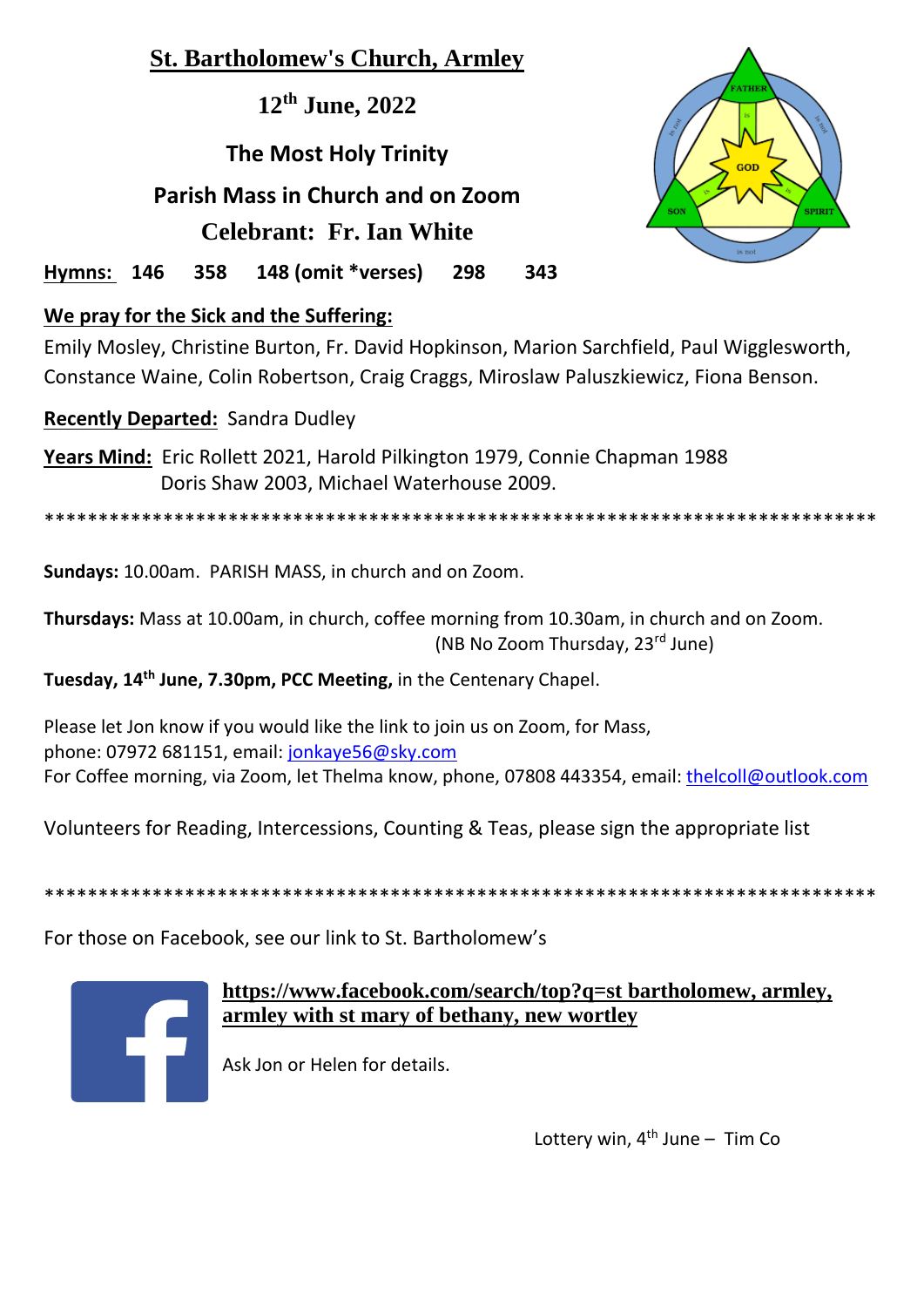# **St. Bartholomew's Church, Armley**

**12th June, 2022**

# **The Most Holy Trinity Parish Mass in Church and on Zoom Celebrant: Fr. Ian White**



**Hymns: 146 358 148 (omit \*verses) 298 343** 

# **We pray for the Sick and the Suffering:**

Emily Mosley, Christine Burton, Fr. David Hopkinson, Marion Sarchfield, Paul Wigglesworth, Constance Waine, Colin Robertson, Craig Craggs, Miroslaw Paluszkiewicz, Fiona Benson.

# **Recently Departed:** Sandra Dudley

**Years Mind:** Eric Rollett 2021, Harold Pilkington 1979, Connie Chapman 1988 Doris Shaw 2003, Michael Waterhouse 2009.

\*\*\*\*\*\*\*\*\*\*\*\*\*\*\*\*\*\*\*\*\*\*\*\*\*\*\*\*\*\*\*\*\*\*\*\*\*\*\*\*\*\*\*\*\*\*\*\*\*\*\*\*\*\*\*\*\*\*\*\*\*\*\*\*\*\*\*\*\*\*\*\*\*\*\*\*\*

**Sundays:** 10.00am. PARISH MASS, in church and on Zoom.

**Thursdays:** Mass at 10.00am, in church, coffee morning from 10.30am, in church and on Zoom. (NB No Zoom Thursday, 23rd June)

**Tuesday, 14th June, 7.30pm, PCC Meeting,** in the Centenary Chapel.

Please let Jon know if you would like the link to join us on Zoom, for Mass, phone: 07972 681151, email: [jonkaye56@sky.com](mailto:jonkaye56@sky.com)  For Coffee morning, via Zoom, let Thelma know, phone, 07808 443354, email: [thelcoll@outlook.com](mailto:thelcoll@outlook.com)

Volunteers for Reading, Intercessions, Counting & Teas, please sign the appropriate list

\*\*\*\*\*\*\*\*\*\*\*\*\*\*\*\*\*\*\*\*\*\*\*\*\*\*\*\*\*\*\*\*\*\*\*\*\*\*\*\*\*\*\*\*\*\*\*\*\*\*\*\*\*\*\*\*\*\*\*\*\*\*\*\*\*\*\*\*\*\*\*\*\*\*\*\*\*

For those on Facebook, see our link to St. Bartholomew's



# **<https://www.facebook.com/search/top?q=st> bartholomew, armley, armley with st mary of bethany, new wortley**

Ask Jon or Helen for details.

Lottery win,  $4^{th}$  June - Tim Co